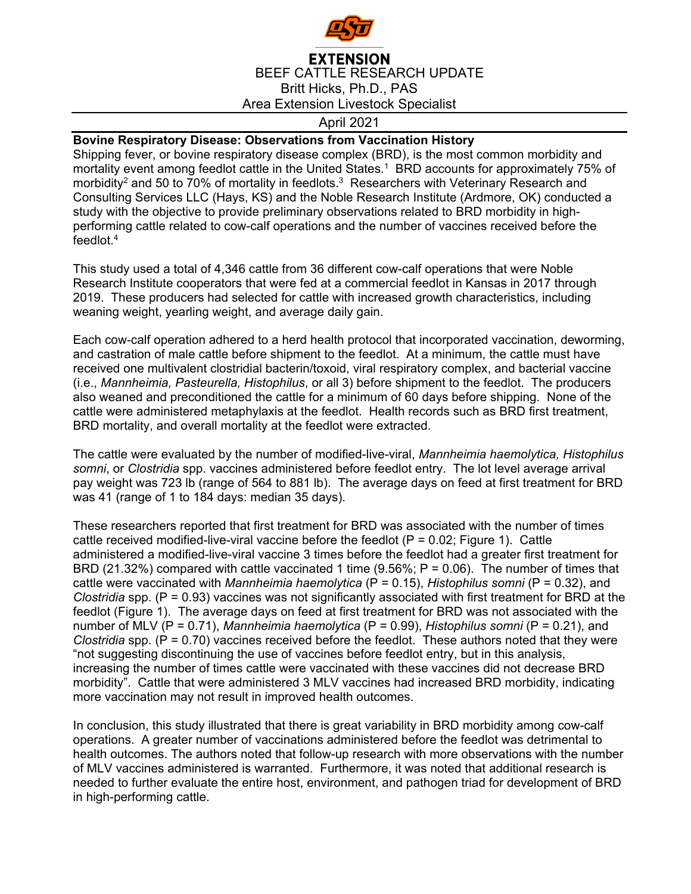

## **EXTENSION** BEEF CATTLE RESEARCH UPDATE Britt Hicks, Ph.D., PAS Area Extension Livestock Specialist

## April 2021

## **Bovine Respiratory Disease: Observations from Vaccination History**

Shipping fever, or bovine respiratory disease complex (BRD), is the most common morbidity and mortality event among feedlot cattle in the United States.1 BRD accounts for approximately 75% of morbidity<sup>2</sup> and 50 to 70% of mortality in feedlots.<sup>3</sup> Researchers with Veterinary Research and Consulting Services LLC (Hays, KS) and the Noble Research Institute (Ardmore, OK) conducted a study with the objective to provide preliminary observations related to BRD morbidity in highperforming cattle related to cow-calf operations and the number of vaccines received before the feedlot.4

This study used a total of 4,346 cattle from 36 different cow-calf operations that were Noble Research Institute cooperators that were fed at a commercial feedlot in Kansas in 2017 through 2019. These producers had selected for cattle with increased growth characteristics, including weaning weight, yearling weight, and average daily gain.

Each cow-calf operation adhered to a herd health protocol that incorporated vaccination, deworming, and castration of male cattle before shipment to the feedlot. At a minimum, the cattle must have received one multivalent clostridial bacterin/toxoid, viral respiratory complex, and bacterial vaccine (i.e., *Mannheimia, Pasteurella, Histophilus*, or all 3) before shipment to the feedlot. The producers also weaned and preconditioned the cattle for a minimum of 60 days before shipping. None of the cattle were administered metaphylaxis at the feedlot. Health records such as BRD first treatment, BRD mortality, and overall mortality at the feedlot were extracted.

The cattle were evaluated by the number of modified-live-viral, *Mannheimia haemolytica, Histophilus somni*, or *Clostridia* spp. vaccines administered before feedlot entry. The lot level average arrival pay weight was 723 lb (range of 564 to 881 lb). The average days on feed at first treatment for BRD was 41 (range of 1 to 184 days: median 35 days).

These researchers reported that first treatment for BRD was associated with the number of times cattle received modified-live-viral vaccine before the feedlot  $(P = 0.02;$  Figure 1). Cattle administered a modified-live-viral vaccine 3 times before the feedlot had a greater first treatment for BRD (21.32%) compared with cattle vaccinated 1 time (9.56%; P = 0.06). The number of times that cattle were vaccinated with *Mannheimia haemolytica* (P = 0.15), *Histophilus somni* (P = 0.32), and *Clostridia* spp. (P = 0.93) vaccines was not significantly associated with first treatment for BRD at the feedlot (Figure 1). The average days on feed at first treatment for BRD was not associated with the number of MLV (P = 0.71), *Mannheimia haemolytica* (P = 0.99), *Histophilus somni* (P = 0.21), and *Clostridia* spp. (P = 0.70) vaccines received before the feedlot. These authors noted that they were "not suggesting discontinuing the use of vaccines before feedlot entry, but in this analysis, increasing the number of times cattle were vaccinated with these vaccines did not decrease BRD morbidity". Cattle that were administered 3 MLV vaccines had increased BRD morbidity, indicating more vaccination may not result in improved health outcomes.

In conclusion, this study illustrated that there is great variability in BRD morbidity among cow-calf operations. A greater number of vaccinations administered before the feedlot was detrimental to health outcomes. The authors noted that follow-up research with more observations with the number of MLV vaccines administered is warranted. Furthermore, it was noted that additional research is needed to further evaluate the entire host, environment, and pathogen triad for development of BRD in high-performing cattle.